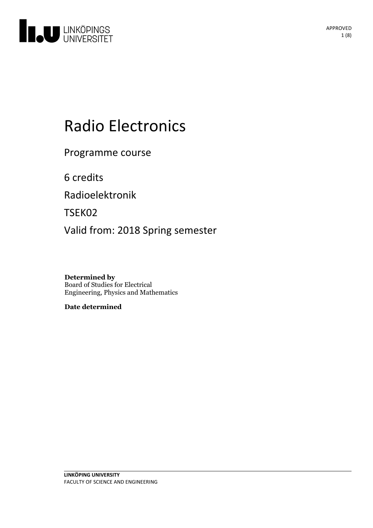

# Radio Electronics

Programme course

6 credits

Radioelektronik

TSEK02

Valid from: 2018 Spring semester

**Determined by** Board of Studies for Electrical Engineering, Physics and Mathematics

**Date determined**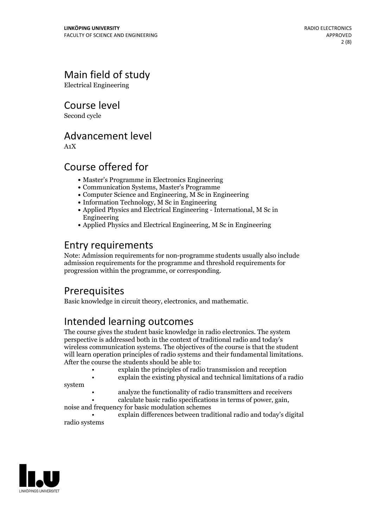# Main field of study

Electrical Engineering

Course level

Second cycle

### Advancement level

A1X

### Course offered for

- Master's Programme in Electronics Engineering
- Communication Systems, Master's Programme
- Computer Science and Engineering, M Sc in Engineering
- $\bullet$  Information Technology, M Sc in Engineering
- Applied Physics and Electrical Engineering International, M Sc in Engineering
- Applied Physics and Electrical Engineering, M Sc in Engineering

# Entry requirements

Note: Admission requirements for non-programme students usually also include admission requirements for the programme and threshold requirements for progression within the programme, or corresponding.

## **Prerequisites**

Basic knowledge in circuit theory, electronics, and mathematic.

# Intended learning outcomes

The course gives the student basic knowledge in radio electronics. The system perspective is addressed both in the context of traditional radio and today's wireless communication systems. The objectives of the course is that the student will learn operation principles of radio systems and their fundamental limitations.<br>After the course the students should be able to:<br>explain the principles of radio transmission and reception

- 
- explain the existing physical and technical limitations of a radio
- system
- analyze the functionality of radio transmitters and receivers • calculate basic radio specifications in terms of power, gain, noise and frequency for basic modulation schemes

• explain differences between traditional radio and today's digital radio systems

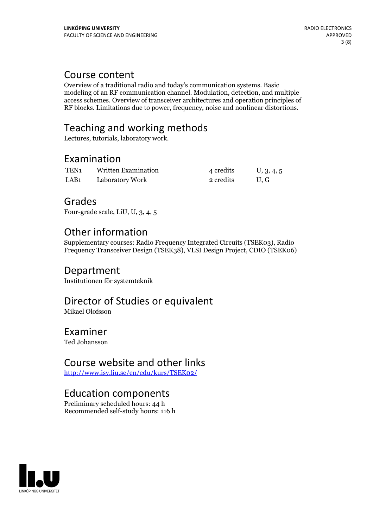### Course content

Overview of a traditional radio and today's communication systems. Basic modeling of an RF communication channel. Modulation, detection, and multiple access schemes. Overview of transceiver architectures and operation principles of RF blocks. Limitations due to power, frequency, noise and nonlinear distortions.

# Teaching and working methods

Lectures, tutorials, laboratory work.

### Examination

| TEN1             | Written Examination | 4 credits | U, 3, 4, 5 |
|------------------|---------------------|-----------|------------|
| LAB <sub>1</sub> | Laboratory Work     | 2 credits | U.G        |

### Grades

Four-grade scale, LiU, U, 3, 4, 5

## Other information

Supplementary courses: Radio Frequency Integrated Circuits (TSEK03), Radio Frequency Transceiver Design (TSEK38), VLSI Design Project, CDIO (TSEK06)

### Department

Institutionen för systemteknik

# Director of Studies or equivalent

Mikael Olofsson

### Examiner

Ted Johansson

### Course website and other links

<http://www.isy.liu.se/en/edu/kurs/TSEK02/>

### Education components

Preliminary scheduled hours: 44 h Recommended self-study hours: 116 h

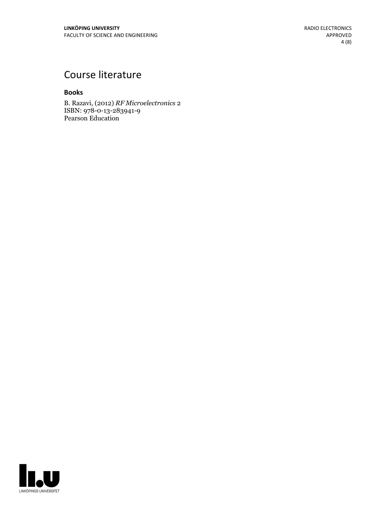# Course literature

#### **Books**

B. Razavi, (2012) *RF Microelectronics* 2 ISBN: 978-0-13-283941-9 Pearson Education

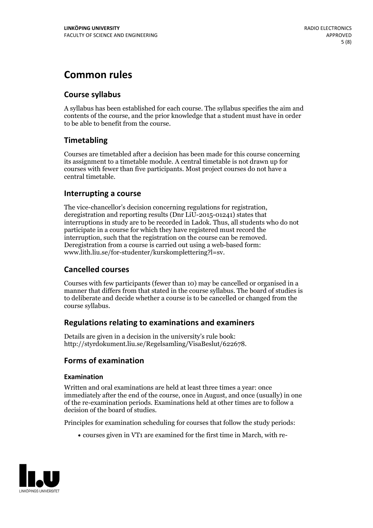# **Common rules**

#### **Course syllabus**

A syllabus has been established for each course. The syllabus specifies the aim and contents of the course, and the prior knowledge that a student must have in order to be able to benefit from the course.

#### **Timetabling**

Courses are timetabled after a decision has been made for this course concerning its assignment to a timetable module. A central timetable is not drawn up for courses with fewer than five participants. Most project courses do not have a central timetable.

#### **Interrupting a course**

The vice-chancellor's decision concerning regulations for registration, deregistration and reporting results (Dnr LiU-2015-01241) states that interruptions in study are to be recorded in Ladok. Thus, all students who do not participate in a course for which they have registered must record the interruption, such that the registration on the course can be removed. Deregistration from <sup>a</sup> course is carried outusing <sup>a</sup> web-based form: www.lith.liu.se/for-studenter/kurskomplettering?l=sv.

#### **Cancelled courses**

Courses with few participants (fewer than 10) may be cancelled or organised in a manner that differs from that stated in the course syllabus. The board of studies is to deliberate and decide whether a course is to be cancelled orchanged from the course syllabus.

#### **Regulations relatingto examinations and examiners**

Details are given in a decision in the university's rule book: http://styrdokument.liu.se/Regelsamling/VisaBeslut/622678.

#### **Forms of examination**

#### **Examination**

Written and oral examinations are held at least three times a year: once immediately after the end of the course, once in August, and once (usually) in one of the re-examination periods. Examinations held at other times are to follow a decision of the board of studies.

Principles for examination scheduling for courses that follow the study periods:

courses given in VT1 are examined for the first time in March, with re-

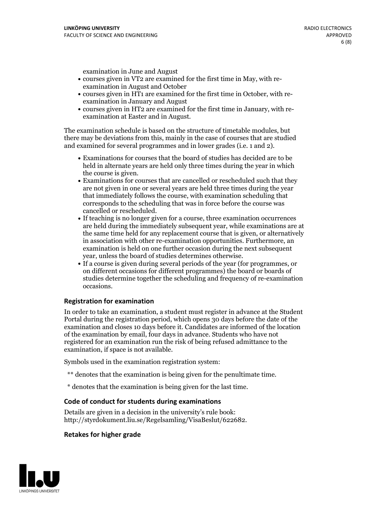examination in June and August

- courses given in VT2 are examined for the first time in May, with re-examination in August and October
- courses given in HT1 are examined for the first time in October, with re-examination in January and August
- courses given in HT2 are examined for the first time in January, with re-examination at Easter and in August.

The examination schedule is based on the structure of timetable modules, but there may be deviations from this, mainly in the case of courses that are studied and examined for several programmes and in lower grades (i.e. 1 and 2).

- Examinations for courses that the board of studies has decided are to be held in alternate years are held only three times during the year in which
- the course is given.<br>• Examinations for courses that are cancelled or rescheduled such that they are not given in one or several years are held three times during the year that immediately follows the course, with examination scheduling that corresponds to the scheduling that was in force before the course was cancelled or rescheduled.<br>• If teaching is no longer given for a course, three examination occurrences
- are held during the immediately subsequent year, while examinations are at the same time held for any replacement course that is given, or alternatively in association with other re-examination opportunities. Furthermore, an examination is held on one further occasion during the next subsequent year, unless the board of studies determines otherwise.<br>• If a course is given during several periods of the year (for programmes, or
- on different occasions for different programmes) the board orboards of studies determine together the scheduling and frequency of re-examination occasions.

#### **Registration for examination**

In order to take an examination, a student must register in advance at the Student Portal during the registration period, which opens 30 days before the date of the examination and closes 10 days before it. Candidates are informed of the location of the examination by email, four days in advance. Students who have not registered for an examination run the risk of being refused admittance to the examination, if space is not available.

Symbols used in the examination registration system:

- \*\* denotes that the examination is being given for the penultimate time.
- \* denotes that the examination is being given for the last time.

#### **Code of conduct for students during examinations**

Details are given in a decision in the university's rule book: http://styrdokument.liu.se/Regelsamling/VisaBeslut/622682.

#### **Retakes for higher grade**

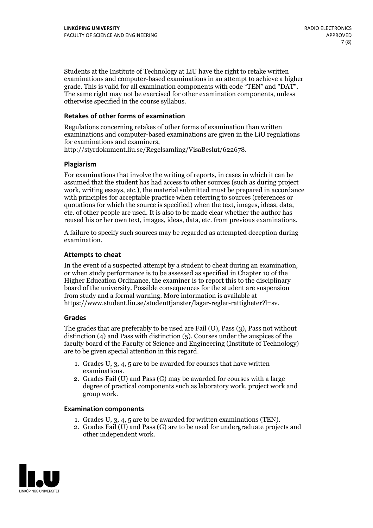Students at the Institute of Technology at LiU have the right to retake written examinations and computer-based examinations in an attempt to achieve a higher grade. This is valid for all examination components with code "TEN" and "DAT". The same right may not be exercised for other examination components, unless otherwise specified in the course syllabus.

#### **Retakes of other forms of examination**

Regulations concerning retakes of other forms of examination than written examinations and computer-based examinations are given in the LiU regulations for examinations and examiners, http://styrdokument.liu.se/Regelsamling/VisaBeslut/622678.

#### **Plagiarism**

For examinations that involve the writing of reports, in cases in which it can be assumed that the student has had access to other sources (such as during project work, writing essays, etc.), the material submitted must be prepared in accordance with principles for acceptable practice when referring to sources (references or quotations for which the source is specified) when the text, images, ideas, data, etc. of other people are used. It is also to be made clear whether the author has reused his or her own text, images, ideas, data, etc. from previous examinations.

A failure to specify such sources may be regarded as attempted deception during examination.

#### **Attempts to cheat**

In the event of <sup>a</sup> suspected attempt by <sup>a</sup> student to cheat during an examination, or when study performance is to be assessed as specified in Chapter <sup>10</sup> of the Higher Education Ordinance, the examiner is to report this to the disciplinary board of the university. Possible consequences for the student are suspension from study and a formal warning. More information is available at https://www.student.liu.se/studenttjanster/lagar-regler-rattigheter?l=sv.

#### **Grades**

The grades that are preferably to be used are Fail (U), Pass (3), Pass not without distinction  $(4)$  and Pass with distinction  $(5)$ . Courses under the auspices of the faculty board of the Faculty of Science and Engineering (Institute of Technology) are to be given special attention in this regard.

- 1. Grades U, 3, 4, 5 are to be awarded for courses that have written
- examinations. 2. Grades Fail (U) and Pass (G) may be awarded for courses with <sup>a</sup> large degree of practical components such as laboratory work, project work and group work.

#### **Examination components**

- 
- 1. Grades U, 3, 4, <sup>5</sup> are to be awarded for written examinations (TEN). 2. Grades Fail (U) and Pass (G) are to be used for undergraduate projects and other independent work.